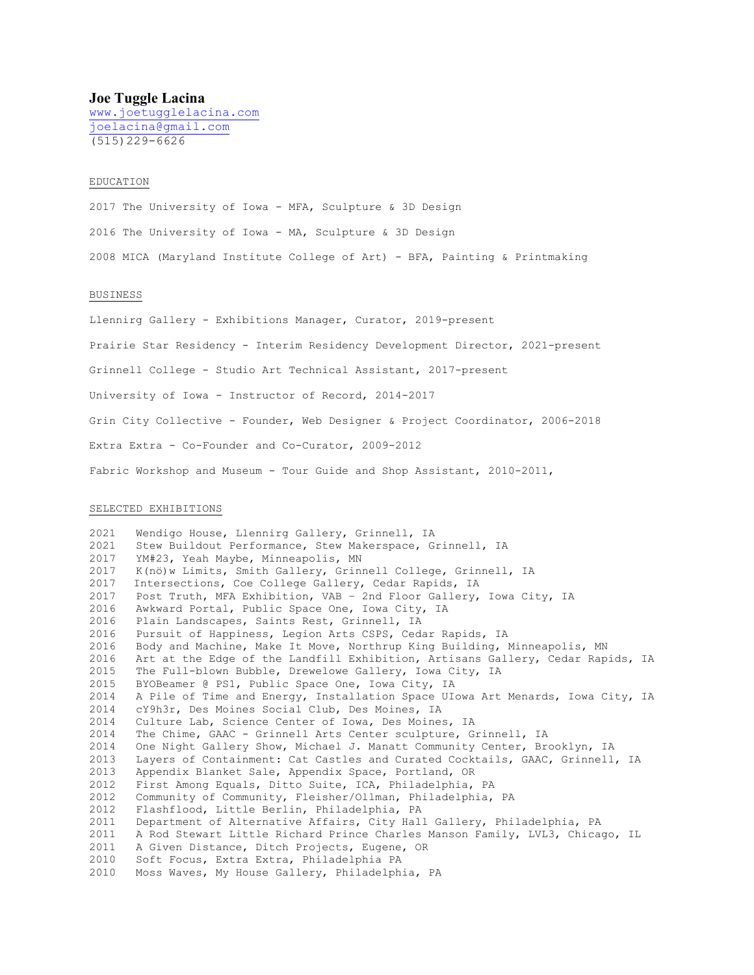# **Joe Tuggle Lacina**

www.joetugglelacina.com joelacina@gmail.com (515)229-6626

### EDUCATION

2017 The University of Iowa - MFA, Sculpture & 3D Design 2016 The University of Iowa - MA, Sculpture & 3D Design 2008 MICA (Maryland Institute College of Art) - BFA, Painting & Printmaking

#### BUSINESS

Llennirg Gallery - Exhibitions Manager, Curator, 2019-present Prairie Star Residency - Interim Residency Development Director, 2021-present Grinnell College - Studio Art Technical Assistant, 2017-present University of Iowa - Instructor of Record, 2014-2017 Grin City Collective - Founder, Web Designer & Project Coordinator, 2006-2018 Extra Extra - Co-Founder and Co-Curator, 2009-2012 Fabric Workshop and Museum - Tour Guide and Shop Assistant, 2010-2011,

## SELECTED EXHIBITIONS

2021 Wendigo House, Llennirg Gallery, Grinnell, IA 2021 Stew Buildout Performance, Stew Makerspace, Grinnell, IA 2017 YM#23, Yeah Maybe, Minneapolis, MN 2017 K(nö)w Limits, Smith Gallery, Grinnell College, Grinnell, IA 2017 Intersections, Coe College Gallery, Cedar Rapids, IA 2017 Post Truth, MFA Exhibition, VAB – 2nd Floor Gallery, Iowa City, IA 2016 Awkward Portal, Public Space One, Iowa City, IA 2016 Plain Landscapes, Saints Rest, Grinnell, IA 2016 Pursuit of Happiness, Legion Arts CSPS, Cedar Rapids, IA 2016 Body and Machine, Make It Move, Northrup King Building, Minneapolis, MN 2016 Art at the Edge of the Landfill Exhibition, Artisans Gallery, Cedar Rapids, IA 2015 The Full-blown Bubble, Drewelowe Gallery, Iowa City, IA 2015 BYOBeamer @ PS1, Public Space One, Iowa City, IA<br>2014 A Pile of Time and Energy, Installation Space UI 2014 A Pile of Time and Energy, Installation Space UIowa Art Menards, Iowa City, IA cY9h3r, Des Moines Social Club, Des Moines, IA 2014 Culture Lab, Science Center of Iowa, Des Moines, IA 2014 The Chime, GAAC - Grinnell Arts Center sculpture, Grinnell, IA 2014 One Night Gallery Show, Michael J. Manatt Community Center, Brooklyn, IA 2013 Layers of Containment: Cat Castles and Curated Cocktails, GAAC, Grinnell, IA<br>2013 Appendix Blanket Sale, Appendix Space, Portland, OR 2013 Appendix Blanket Sale, Appendix Space, Portland, OR<br>2012 First Among Equals, Ditto Suite, ICA, Philadelphia, First Among Equals, Ditto Suite, ICA, Philadelphia, PA 2012 Community of Community, Fleisher/Ollman, Philadelphia, PA 2012 Flashflood, Little Berlin, Philadelphia, PA 2011 Department of Alternative Affairs, City Hall Gallery, Philadelphia, PA 2011 A Rod Stewart Little Richard Prince Charles Manson Family, LVL3, Chicago, IL 2011 A Given Distance, Ditch Projects, Eugene, OR<br>2010 Soft Focus, Extra Extra, Philadelphia PA 2010 Soft Focus, Extra Extra, Philadelphia PA<br>2010 Moss Wayes, My House Gallery, Philadelph Moss Waves, My House Gallery, Philadelphia, PA